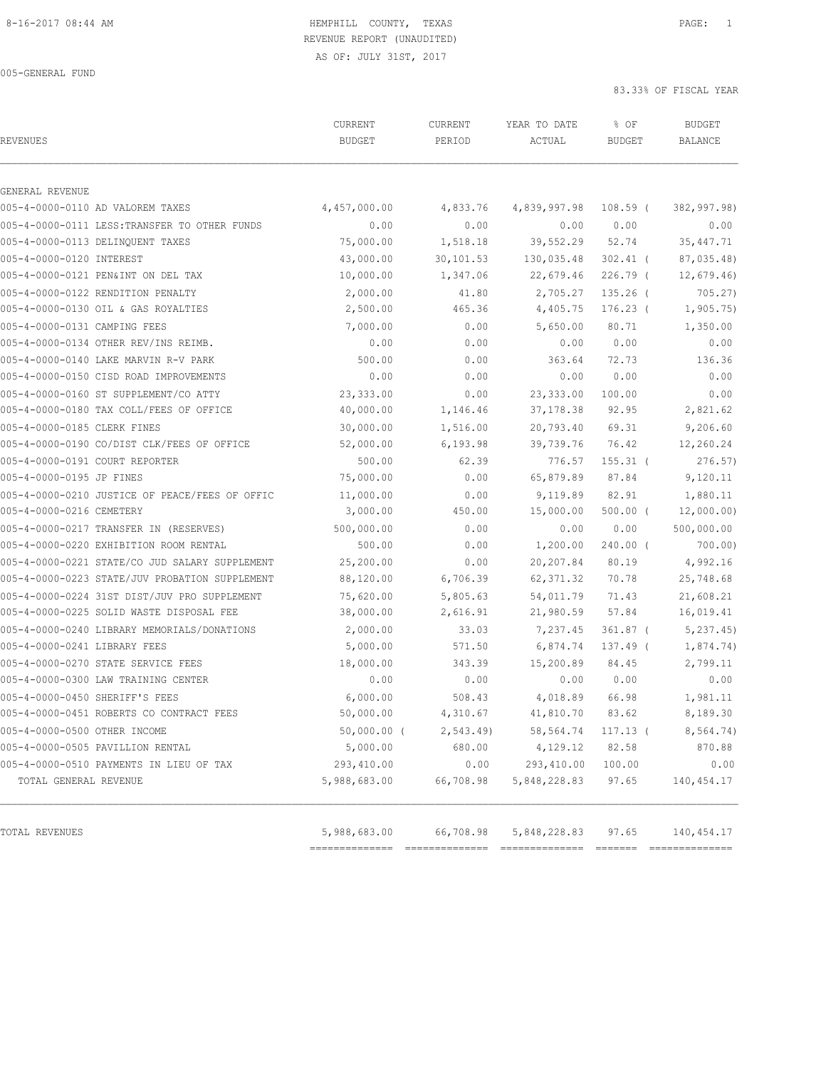# REVENUE REPORT (UNAUDITED)

AS OF: JULY 31ST, 2017

005-GENERAL FUND

| REVENUES                                       | CURRENT<br><b>BUDGET</b> | CURRENT<br>PERIOD | YEAR TO DATE<br>ACTUAL | % OF<br><b>BUDGET</b> | <b>BUDGET</b><br><b>BALANCE</b> |
|------------------------------------------------|--------------------------|-------------------|------------------------|-----------------------|---------------------------------|
| GENERAL REVENUE                                |                          |                   |                        |                       |                                 |
| 005-4-0000-0110 AD VALOREM TAXES               | 4,457,000.00             | 4,833.76          | 4,839,997.98           | $108.59$ (            | 382,997.98)                     |
| 005-4-0000-0111 LESS:TRANSFER TO OTHER FUNDS   | 0.00                     | 0.00              | 0.00                   | 0.00                  | 0.00                            |
| 005-4-0000-0113 DELINQUENT TAXES               | 75,000.00                | 1,518.18          | 39,552.29              | 52.74                 | 35, 447.71                      |
| 005-4-0000-0120 INTEREST                       | 43,000.00                | 30,101.53         | 130,035.48             | $302.41$ (            | 87,035.48)                      |
| 005-4-0000-0121 PEN&INT ON DEL TAX             | 10,000.00                | 1,347.06          | 22,679.46              | $226.79$ (            | 12,679.46                       |
| 005-4-0000-0122 RENDITION PENALTY              | 2,000.00                 | 41.80             | 2,705.27               | $135.26$ (            | 705.27)                         |
| 005-4-0000-0130 OIL & GAS ROYALTIES            | 2,500.00                 | 465.36            | 4,405.75               | $176.23$ (            | 1, 905.75)                      |
| 005-4-0000-0131 CAMPING FEES                   | 7,000.00                 | 0.00              | 5,650.00               | 80.71                 | 1,350.00                        |
| 005-4-0000-0134 OTHER REV/INS REIMB.           | 0.00                     | 0.00              | 0.00                   | 0.00                  | 0.00                            |
| 005-4-0000-0140 LAKE MARVIN R-V PARK           | 500.00                   | 0.00              | 363.64                 | 72.73                 | 136.36                          |
| 005-4-0000-0150 CISD ROAD IMPROVEMENTS         | 0.00                     | 0.00              | 0.00                   | 0.00                  | 0.00                            |
| 005-4-0000-0160 ST SUPPLEMENT/CO ATTY          | 23,333.00                | 0.00              | 23, 333.00             | 100.00                | 0.00                            |
| 005-4-0000-0180 TAX COLL/FEES OF OFFICE        | 40,000.00                | 1,146.46          | 37, 178.38             | 92.95                 | 2,821.62                        |
| 005-4-0000-0185 CLERK FINES                    | 30,000.00                | 1,516.00          | 20,793.40              | 69.31                 | 9,206.60                        |
| 005-4-0000-0190 CO/DIST CLK/FEES OF OFFICE     | 52,000.00                | 6, 193.98         | 39,739.76              | 76.42                 | 12,260.24                       |
| 005-4-0000-0191 COURT REPORTER                 | 500.00                   | 62.39             | 776.57                 | $155.31$ (            | 276.57)                         |
| 005-4-0000-0195 JP FINES                       | 75,000.00                | 0.00              | 65,879.89              | 87.84                 | 9,120.11                        |
| 005-4-0000-0210 JUSTICE OF PEACE/FEES OF OFFIC | 11,000.00                | 0.00              | 9,119.89               | 82.91                 | 1,880.11                        |
| 005-4-0000-0216 CEMETERY                       | 3,000.00                 | 450.00            | 15,000.00              | $500.00$ (            | 12,000.00)                      |
| 005-4-0000-0217 TRANSFER IN (RESERVES)         | 500,000.00               | 0.00              | 0.00                   | 0.00                  | 500,000.00                      |
| 005-4-0000-0220 EXHIBITION ROOM RENTAL         | 500.00                   | 0.00              | 1,200.00               | $240.00$ (            | 700.00)                         |
| 005-4-0000-0221 STATE/CO JUD SALARY SUPPLEMENT | 25,200.00                | 0.00              | 20,207.84              | 80.19                 | 4,992.16                        |
| 005-4-0000-0223 STATE/JUV PROBATION SUPPLEMENT | 88,120.00                | 6,706.39          | 62, 371.32             | 70.78                 | 25,748.68                       |
| 005-4-0000-0224 31ST DIST/JUV PRO SUPPLEMENT   | 75,620.00                | 5,805.63          | 54,011.79              | 71.43                 | 21,608.21                       |
| 005-4-0000-0225 SOLID WASTE DISPOSAL FEE       | 38,000.00                | 2,616.91          | 21,980.59              | 57.84                 | 16,019.41                       |
| 005-4-0000-0240 LIBRARY MEMORIALS/DONATIONS    | 2,000.00                 | 33.03             | 7,237.45               | $361.87$ (            | 5, 237.45                       |
| 005-4-0000-0241 LIBRARY FEES                   | 5,000.00                 | 571.50            | 6,874.74               | 137.49 (              | 1,874.74)                       |
| 005-4-0000-0270 STATE SERVICE FEES             | 18,000.00                | 343.39            | 15,200.89              | 84.45                 | 2,799.11                        |
| 005-4-0000-0300 LAW TRAINING CENTER            | 0.00                     | 0.00              | 0.00                   | 0.00                  | 0.00                            |
| 005-4-0000-0450 SHERIFF'S FEES                 | 6,000.00                 | 508.43            | 4,018.89               | 66.98                 | 1,981.11                        |
| 005-4-0000-0451 ROBERTS CO CONTRACT FEES       | 50,000.00                | 4,310.67          | 41,810.70              | 83.62                 | 8,189.30                        |
| 005-4-0000-0500 OTHER INCOME                   | $50,000.00$ (            | 2, 543.49         | 58,564.74              | $117.13$ (            | 8,564.74)                       |
| 005-4-0000-0505 PAVILLION RENTAL               | 5,000.00                 | 680.00            | 4,129.12               | 82.58                 | 870.88                          |
| 005-4-0000-0510 PAYMENTS IN LIEU OF TAX        | 293,410.00               | 0.00              | 293,410.00             | 100.00                | 0.00                            |
| TOTAL GENERAL REVENUE                          | 5,988,683.00             | 66,708.98         | 5,848,228.83           | 97.65                 | 140, 454.17                     |
| TOTAL REVENUES                                 | 5,988,683.00             | 66,708.98         | 5,848,228.83           | 97.65                 | 140,454.17                      |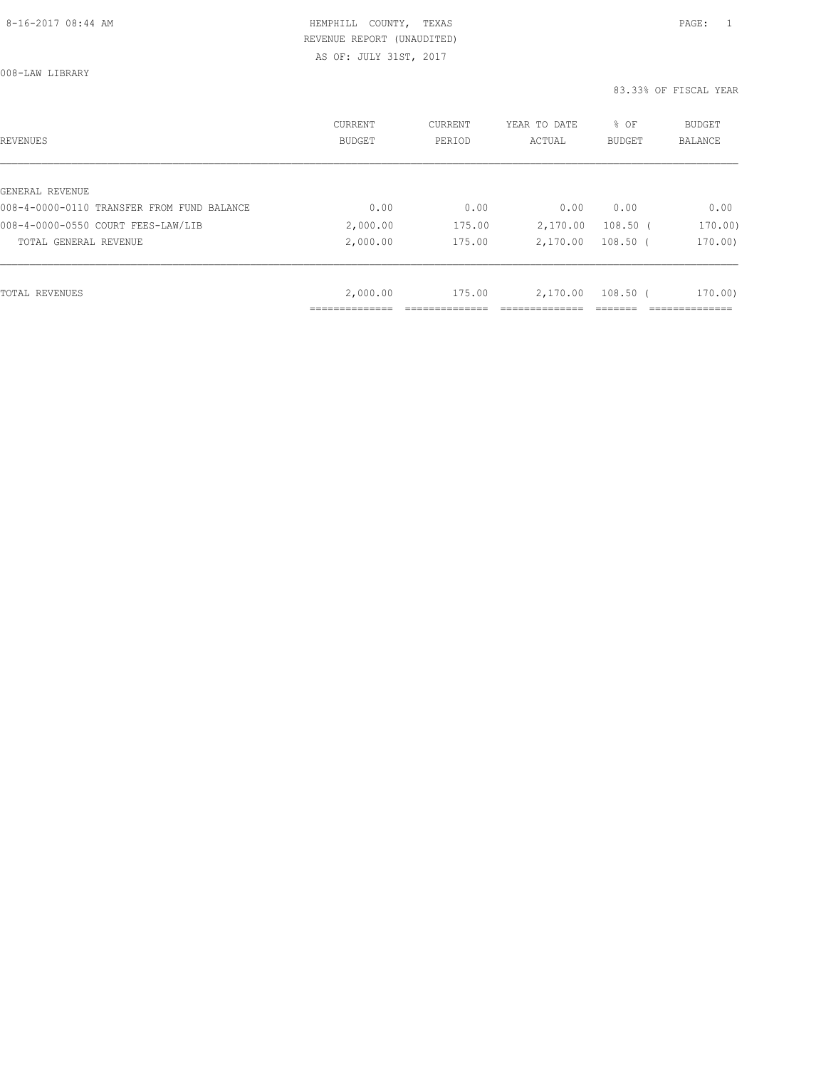AS OF: JULY 31ST, 2017

| REVENUES                                   | CURRENT<br><b>BUDGET</b> | CURRENT<br>PERIOD | YEAR TO DATE<br>ACTUAL | % OF<br><b>BUDGET</b> | <b>BUDGET</b><br>BALANCE |
|--------------------------------------------|--------------------------|-------------------|------------------------|-----------------------|--------------------------|
|                                            |                          |                   |                        |                       |                          |
| GENERAL REVENUE                            |                          |                   |                        |                       |                          |
| 008-4-0000-0110 TRANSFER FROM FUND BALANCE | 0.00                     | 0.00              | 0.00                   | 0.00                  | 0.00                     |
| 008-4-0000-0550 COURT FEES-LAW/LIB         | 2,000.00                 | 175.00            | 2,170.00               | $108.50$ (            | 170.00)                  |
| TOTAL GENERAL REVENUE                      | 2,000.00                 | 175.00            | 2,170.00               | $108.50$ (            | 170.00)                  |
|                                            |                          |                   |                        |                       |                          |
| TOTAL REVENUES                             | 2,000.00                 | 175.00            | 2,170.00               | $108.50$ (            | 170.00                   |
|                                            |                          |                   |                        |                       |                          |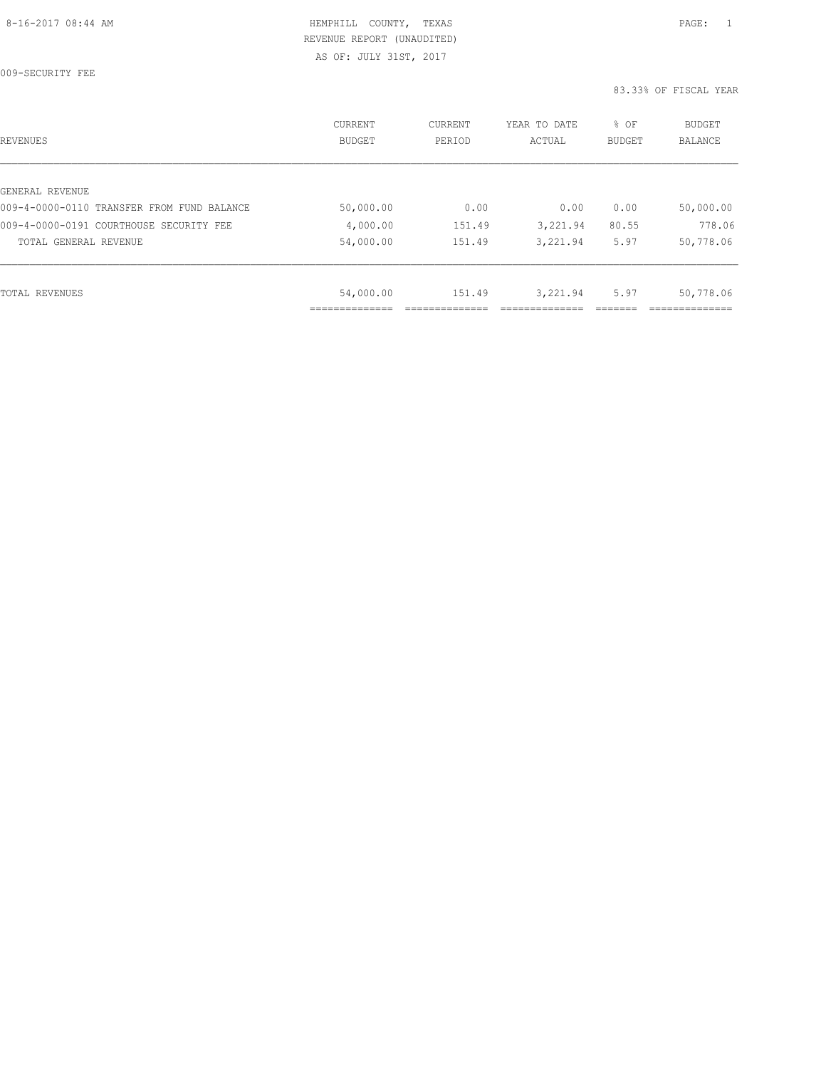| REVENUES                                   | <b>CURRENT</b><br><b>BUDGET</b> | CURRENT<br>PERIOD | YEAR TO DATE<br>ACTUAL | % OF<br><b>BUDGET</b> | BUDGET<br><b>BALANCE</b> |
|--------------------------------------------|---------------------------------|-------------------|------------------------|-----------------------|--------------------------|
|                                            |                                 |                   |                        |                       |                          |
| GENERAL REVENUE                            |                                 |                   |                        |                       |                          |
| 009-4-0000-0110 TRANSFER FROM FUND BALANCE | 50,000.00                       | 0.00              | 0.00                   | 0.00                  | 50,000.00                |
| 009-4-0000-0191 COURTHOUSE SECURITY FEE    | 4,000.00                        | 151.49            | 3,221.94               | 80.55                 | 778.06                   |
| TOTAL GENERAL REVENUE                      | 54,000.00                       | 151.49            | 3,221.94               | 5.97                  | 50,778.06                |
|                                            |                                 |                   |                        |                       |                          |
| TOTAL REVENUES                             | 54,000.00                       | 151.49            | 3,221.94               | 5.97                  | 50,778.06                |
|                                            |                                 |                   |                        |                       |                          |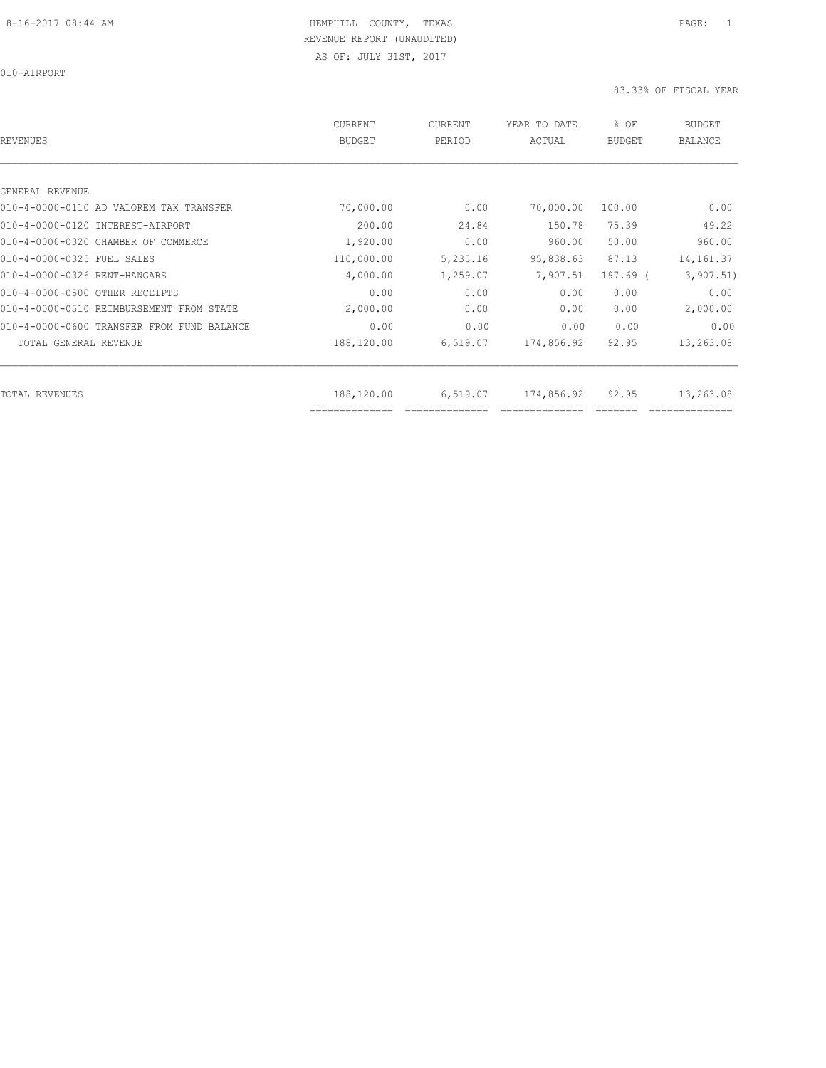010-AIRPORT

| <b>REVENUES</b>                            | CURRENT<br><b>BUDGET</b> | CURRENT<br>PERIOD | YEAR TO DATE<br>ACTUAL | % OF<br><b>BUDGET</b> | <b>BUDGET</b><br><b>BALANCE</b> |
|--------------------------------------------|--------------------------|-------------------|------------------------|-----------------------|---------------------------------|
|                                            |                          |                   |                        |                       |                                 |
| GENERAL REVENUE                            |                          |                   |                        |                       |                                 |
| 010-4-0000-0110 AD VALOREM TAX TRANSFER    | 70,000.00                | 0.00              | 70,000.00              | 100.00                | 0.00                            |
| 010-4-0000-0120 INTEREST-AIRPORT           | 200.00                   | 24.84             | 150.78                 | 75.39                 | 49.22                           |
| 010-4-0000-0320 CHAMBER OF COMMERCE        | 1,920.00                 | 0.00              | 960.00                 | 50.00                 | 960.00                          |
| 010-4-0000-0325 FUEL SALES                 | 110,000.00               | 5,235.16          | 95,838.63              | 87.13                 | 14, 161.37                      |
| 010-4-0000-0326 RENT-HANGARS               | 4,000.00                 | 1,259.07          | 7,907.51               | $197.69$ (            | 3,907.51)                       |
| 010-4-0000-0500 OTHER RECEIPTS             | 0.00                     | 0.00              | 0.00                   | 0.00                  | 0.00                            |
| 010-4-0000-0510 REIMBURSEMENT FROM STATE   | 2,000.00                 | 0.00              | 0.00                   | 0.00                  | 2,000.00                        |
| 010-4-0000-0600 TRANSFER FROM FUND BALANCE | 0.00                     | 0.00              | 0.00                   | 0.00                  | 0.00                            |
| TOTAL GENERAL REVENUE                      | 188,120.00               | 6,519.07          | 174,856.92             | 92.95                 | 13,263.08                       |
| <b>TOTAL REVENUES</b>                      | 188,120.00               | 6,519.07          | 174,856.92             | 92.95                 | 13,263.08                       |
|                                            | ==============           |                   |                        |                       |                                 |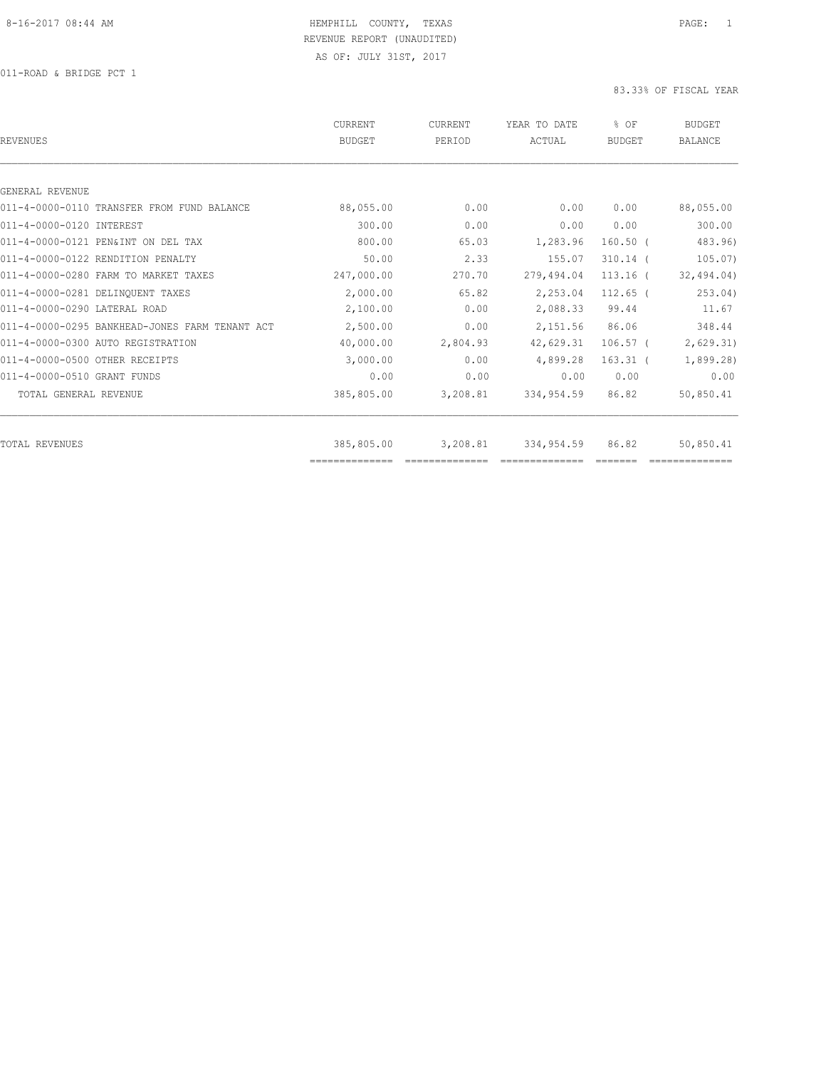| REVENUES                                       | <b>CURRENT</b><br><b>BUDGET</b> | CURRENT<br>PERIOD | YEAR TO DATE<br>ACTUAL | % OF<br><b>BUDGET</b> | <b>BUDGET</b><br><b>BALANCE</b> |
|------------------------------------------------|---------------------------------|-------------------|------------------------|-----------------------|---------------------------------|
|                                                |                                 |                   |                        |                       |                                 |
| GENERAL REVENUE                                |                                 |                   |                        |                       |                                 |
| 011-4-0000-0110 TRANSFER FROM FUND BALANCE     | 88,055.00                       | 0.00              | 0.00                   | 0.00                  | 88,055.00                       |
| 011-4-0000-0120 INTEREST                       | 300.00                          | 0.00              | 0.00                   | 0.00                  | 300.00                          |
| 011-4-0000-0121 PEN&INT ON DEL TAX             | 800.00                          | 65.03             | 1,283.96               | $160.50$ (            | 483.96)                         |
| 011-4-0000-0122 RENDITION PENALTY              | 50.00                           | 2.33              | 155.07                 | $310.14$ (            | 105.07                          |
| 011-4-0000-0280 FARM TO MARKET TAXES           | 247,000.00                      | 270.70            | 279,494.04             | $113.16$ (            | 32, 494.04)                     |
| 011-4-0000-0281 DELINOUENT TAXES               | 2,000.00                        | 65.82             | 2,253.04               | $112.65$ (            | 253.04)                         |
| 011-4-0000-0290 LATERAL ROAD                   | 2,100.00                        | 0.00              | 2,088.33               | 99.44                 | 11.67                           |
| 011-4-0000-0295 BANKHEAD-JONES FARM TENANT ACT | 2,500.00                        | 0.00              | 2,151.56               | 86.06                 | 348.44                          |
| 011-4-0000-0300 AUTO REGISTRATION              | 40,000.00                       | 2,804.93          | 42,629.31              | $106.57$ (            | 2,629.31)                       |
| 011-4-0000-0500 OTHER RECEIPTS                 | 3,000.00                        | 0.00              | 4,899.28               | $163.31$ (            | 1,899.28)                       |
| 011-4-0000-0510 GRANT FUNDS                    | 0.00                            | 0.00              | 0.00                   | 0.00                  | 0.00                            |
| TOTAL GENERAL REVENUE                          | 385,805.00                      | 3,208.81          | 334,954.59             | 86.82                 | 50,850.41                       |
|                                                |                                 |                   |                        |                       |                                 |
| TOTAL REVENUES                                 | 385,805.00                      | 3,208.81          | 334,954.59             | 86.82                 | 50,850.41                       |
|                                                |                                 |                   |                        |                       |                                 |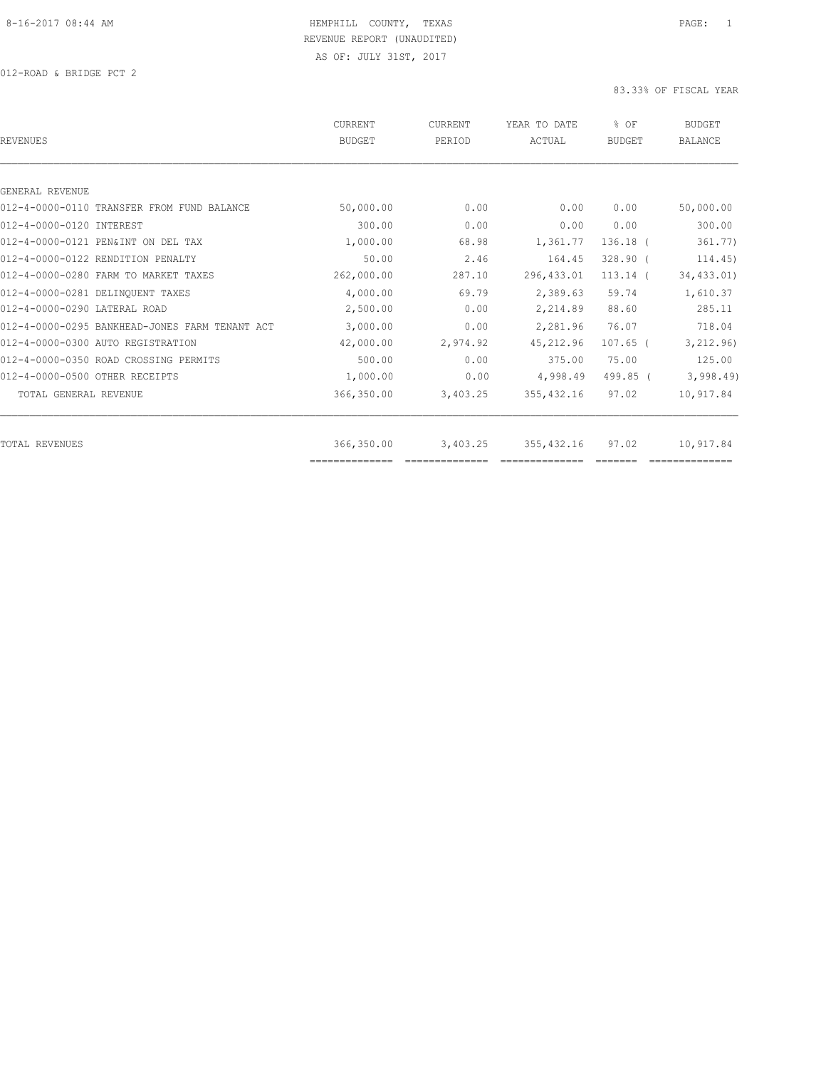| REVENUES                                       | CURRENT<br><b>BUDGET</b> | CURRENT<br>PERIOD | YEAR TO DATE<br>ACTUAL | % OF<br><b>BUDGET</b> | <b>BUDGET</b><br><b>BALANCE</b> |
|------------------------------------------------|--------------------------|-------------------|------------------------|-----------------------|---------------------------------|
|                                                |                          |                   |                        |                       |                                 |
| GENERAL REVENUE                                |                          |                   |                        |                       |                                 |
| 012-4-0000-0110 TRANSFER FROM FUND BALANCE     | 50,000.00                | 0.00              | 0.00                   | 0.00                  | 50,000.00                       |
| 012-4-0000-0120 INTEREST                       | 300.00                   | 0.00              | 0.00                   | 0.00                  | 300.00                          |
| 012-4-0000-0121 PEN&INT ON DEL TAX             | 1,000.00                 | 68.98             | 1,361.77               | $136.18$ (            | 361.77)                         |
| 012-4-0000-0122 RENDITION PENALTY              | 50.00                    | 2.46              | 164.45                 | $328.90$ (            | 114.45)                         |
| 012-4-0000-0280 FARM TO MARKET TAXES           | 262,000.00               | 287.10            | 296, 433.01            | $113.14$ (            | 34,433.01)                      |
| 012-4-0000-0281 DELINQUENT TAXES               | 4,000.00                 | 69.79             | 2,389.63               | 59.74                 | 1,610.37                        |
| 012-4-0000-0290 LATERAL ROAD                   | 2,500.00                 | 0.00              | 2,214.89               | 88.60                 | 285.11                          |
| 012-4-0000-0295 BANKHEAD-JONES FARM TENANT ACT | 3,000.00                 | 0.00              | 2,281.96               | 76.07                 | 718.04                          |
| 012-4-0000-0300 AUTO REGISTRATION              | 42,000.00                | 2,974.92          | 45, 212.96             | $107.65$ (            | 3,212.96)                       |
| 012-4-0000-0350 ROAD CROSSING PERMITS          | 500.00                   | 0.00              | 375.00                 | 75.00                 | 125.00                          |
| 012-4-0000-0500 OTHER RECEIPTS                 | 1,000.00                 | 0.00              | 4,998.49               | 499.85 (              | 3,998.49                        |
| TOTAL GENERAL REVENUE                          | 366,350.00               | 3,403.25          | 355, 432.16            | 97.02                 | 10,917.84                       |
| TOTAL REVENUES                                 | 366,350.00               | 3,403.25          | 355, 432.16            | 97.02                 | 10,917.84                       |
|                                                | ==============           |                   |                        |                       |                                 |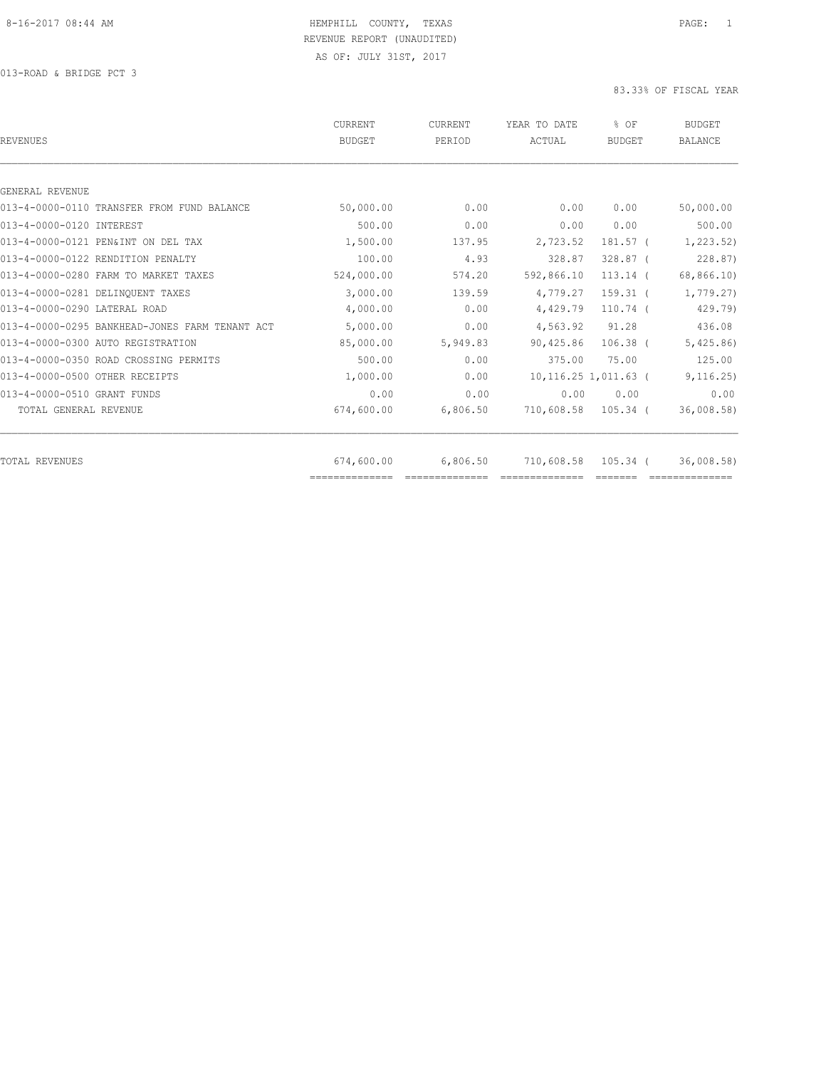| <b>REVENUES</b>                                | CURRENT<br><b>BUDGET</b> | CURRENT<br>PERIOD | YEAR TO DATE<br><b>ACTUAL</b> | % OF<br><b>BUDGET</b>   | <b>BUDGET</b><br><b>BALANCE</b> |
|------------------------------------------------|--------------------------|-------------------|-------------------------------|-------------------------|---------------------------------|
|                                                |                          |                   |                               |                         |                                 |
| GENERAL REVENUE                                |                          |                   |                               |                         |                                 |
| 013-4-0000-0110 TRANSFER FROM FUND BALANCE     | 50,000.00                | 0.00              | 0.00                          | 0.00                    | 50,000.00                       |
| 013-4-0000-0120 INTEREST                       | 500.00                   | 0.00              | 0.00                          | 0.00                    | 500.00                          |
| 013-4-0000-0121 PEN&INT ON DEL TAX             | 1,500.00                 | 137.95            | 2,723.52                      | 181.57 (                | 1, 223.52)                      |
| 013-4-0000-0122 RENDITION PENALTY              | 100.00                   | 4.93              | 328.87                        | 328.87 (                | 228.87)                         |
| 013-4-0000-0280 FARM TO MARKET TAXES           | 524,000.00               | 574.20            | 592,866.10                    | $113.14$ (              | 68,866.10)                      |
| 013-4-0000-0281 DELINOUENT TAXES               | 3,000.00                 | 139.59            | 4,779.27                      | $159.31$ (              | 1,779.27)                       |
| 013-4-0000-0290 LATERAL ROAD                   | 4,000.00                 | 0.00              | 4,429.79                      | $110.74$ (              | 429.79)                         |
| 013-4-0000-0295 BANKHEAD-JONES FARM TENANT ACT | 5,000.00                 | 0.00              | 4,563.92                      | 91.28                   | 436.08                          |
| 013-4-0000-0300 AUTO REGISTRATION              | 85,000.00                | 5,949.83          | 90,425.86                     | $106.38$ (              | 5,425.86                        |
| 013-4-0000-0350 ROAD CROSSING PERMITS          | 500.00                   | 0.00              | 375.00                        | 75.00                   | 125.00                          |
| 013-4-0000-0500 OTHER RECEIPTS                 | 1,000.00                 | 0.00              |                               | $10, 116.25$ 1,011.63 ( | 9, 116.25)                      |
| 013-4-0000-0510 GRANT FUNDS                    | 0.00                     | 0.00              | 0.00                          | 0.00                    | 0.00                            |
| TOTAL GENERAL REVENUE                          | 674,600.00               | 6,806.50          |                               | 710,608.58 105.34 (     | 36,008.58)                      |
| <b>TOTAL REVENUES</b>                          | 674,600.00               | 6,806.50          | 710,608.58                    | 105.34 (                | 36,008.58)                      |
|                                                | ==============           |                   |                               |                         |                                 |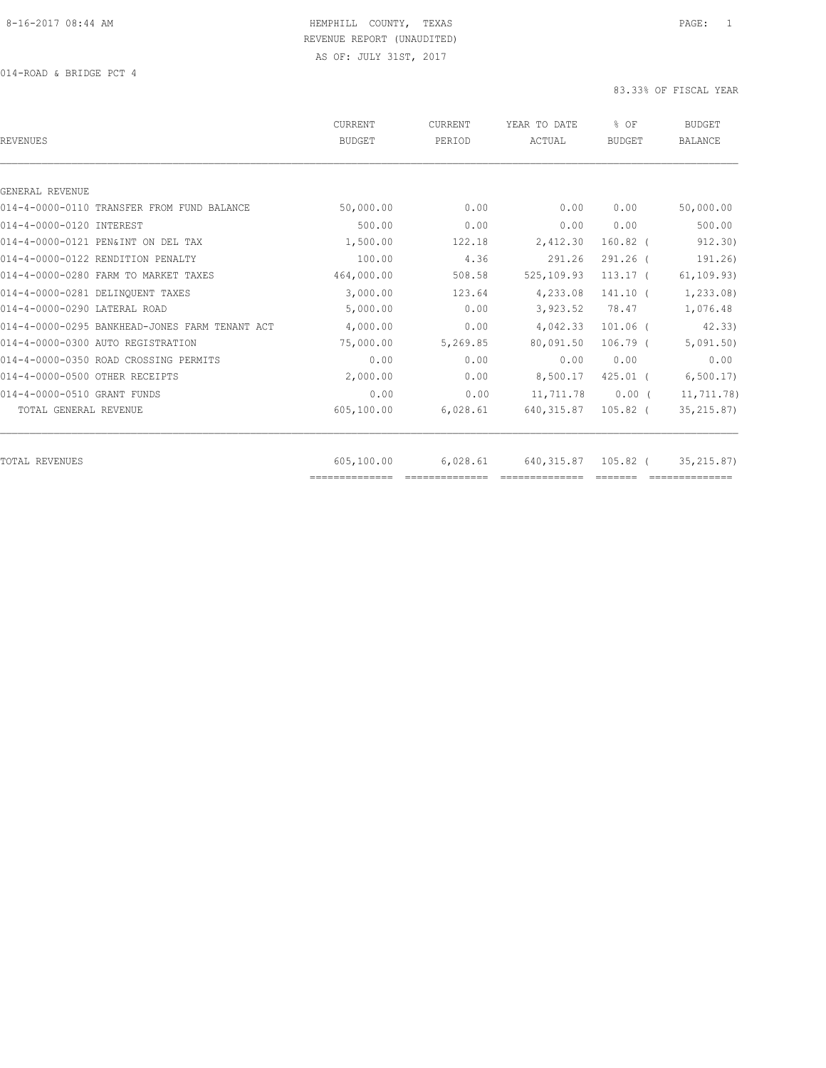| 50,000.00<br>0.00<br>500.00<br>0.00 | 0.00        | 0.00                                                                     |                                                                                   |
|-------------------------------------|-------------|--------------------------------------------------------------------------|-----------------------------------------------------------------------------------|
|                                     |             |                                                                          |                                                                                   |
|                                     |             |                                                                          |                                                                                   |
|                                     |             |                                                                          | 50,000.00                                                                         |
|                                     | 0.00        | 0.00                                                                     | 500.00                                                                            |
| 1,500.00<br>122.18                  | 2,412.30    | $160.82$ (                                                               | 912.30)                                                                           |
| 100.00<br>4.36                      | 291.26      | 291.26 (                                                                 | 191.26                                                                            |
| 464,000.00<br>508.58                | 525,109.93  | $113.17$ (                                                               | 61, 109.93)                                                                       |
| 3,000.00<br>123.64                  | 4,233.08    | $141.10$ (                                                               | 1,233.08)                                                                         |
| 5,000.00                            |             | 78.47                                                                    | 1,076.48                                                                          |
| 4,000.00                            |             | $101.06$ (                                                               | 42.33                                                                             |
| 75,000.00                           |             | $106.79$ (                                                               | 5,091.50)                                                                         |
| 0.00                                |             | 0.00                                                                     | 0.00                                                                              |
| 2,000.00                            |             | $425.01$ (                                                               | 6, 500.17                                                                         |
| 0.00                                |             | $0.00$ (                                                                 | 11,711.78)                                                                        |
| 605,100.00                          |             | $105.82$ (                                                               | 35, 215.87)                                                                       |
| 605,100.00                          | 640, 315.87 | 105.82 (                                                                 | 35, 215, 87)                                                                      |
|                                     |             | 0.00<br>0.00<br>5,269.85<br>0.00<br>0.00<br>0.00<br>6,028.61<br>6,028.61 | 3,923.52<br>4,042.33<br>80,091.50<br>0.00<br>8,500.17<br>11,711.78<br>640, 315.87 |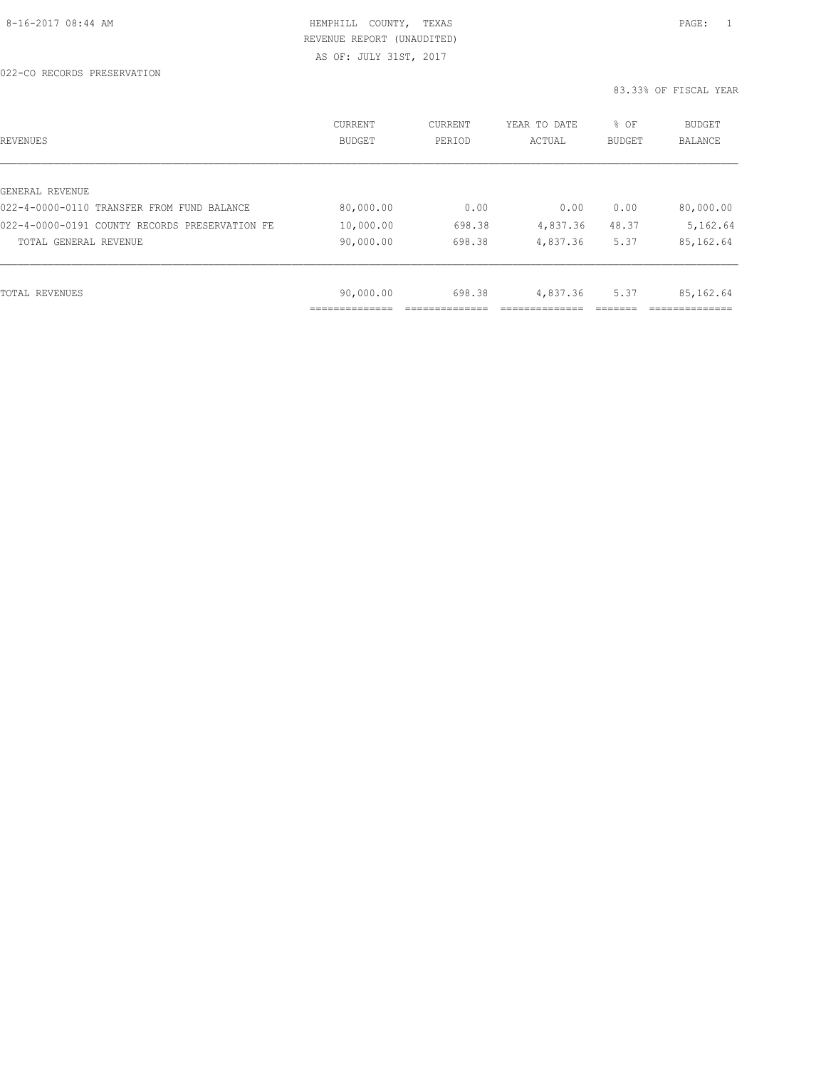| REVENUES                                       | CURRENT<br><b>BUDGET</b> | CURRENT<br>PERIOD | YEAR TO DATE<br>ACTUAL | % OF<br><b>BUDGET</b> | BUDGET<br><b>BALANCE</b> |
|------------------------------------------------|--------------------------|-------------------|------------------------|-----------------------|--------------------------|
|                                                |                          |                   |                        |                       |                          |
| GENERAL REVENUE                                |                          |                   |                        |                       |                          |
| 022-4-0000-0110 TRANSFER FROM FUND BALANCE     | 80,000.00                | 0.00              | 0.00                   | 0.00                  | 80,000.00                |
| 022-4-0000-0191 COUNTY RECORDS PRESERVATION FE | 10,000.00                | 698.38            | 4,837.36               | 48.37                 | 5,162.64                 |
| TOTAL GENERAL REVENUE                          | 90,000.00                | 698.38            | 4,837.36               | 5.37                  | 85,162.64                |
|                                                |                          |                   |                        |                       |                          |
| TOTAL REVENUES                                 | 90,000.00                | 698.38            | 4,837.36               | 5.37                  | 85,162.64                |
|                                                |                          |                   |                        |                       |                          |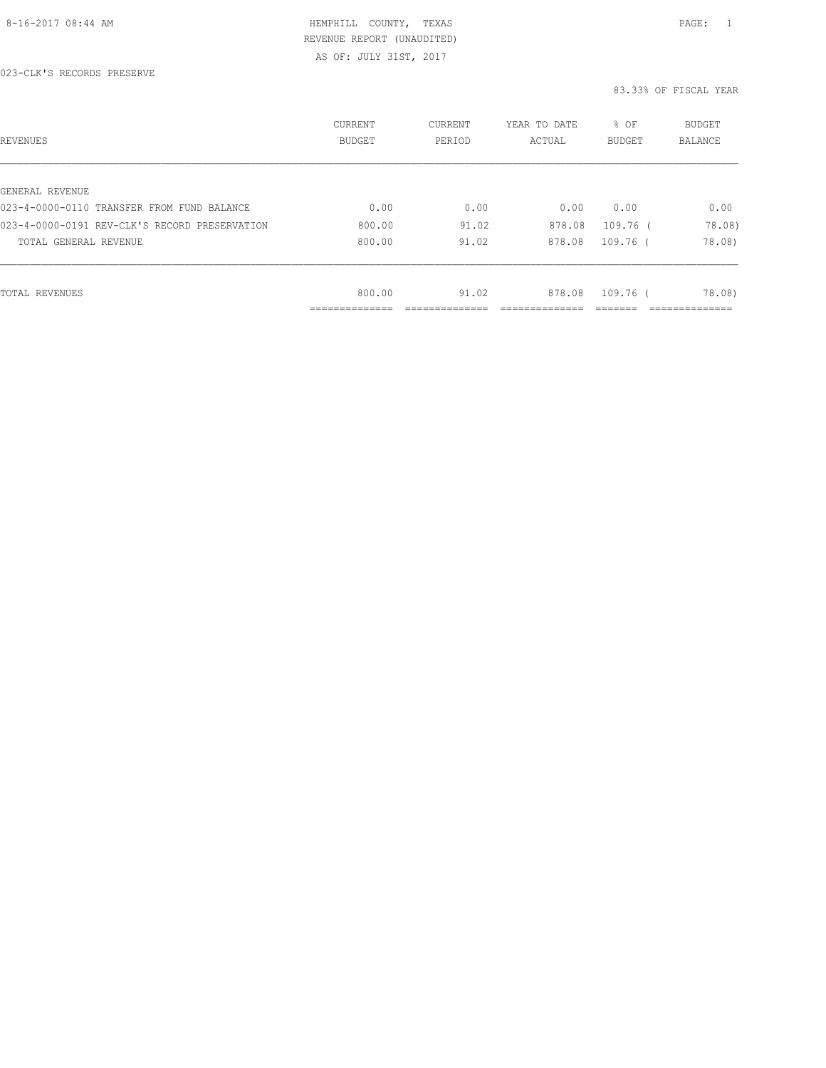AS OF: JULY 31ST, 2017

| REVENUES                                      | CURRENT<br><b>BUDGET</b> | CURRENT<br>PERIOD | YEAR TO DATE<br>ACTUAL | % OF<br><b>BUDGET</b> | BUDGET<br><b>BALANCE</b>      |
|-----------------------------------------------|--------------------------|-------------------|------------------------|-----------------------|-------------------------------|
|                                               |                          |                   |                        |                       |                               |
| GENERAL REVENUE                               |                          |                   |                        |                       |                               |
| 023-4-0000-0110 TRANSFER FROM FUND BALANCE    | 0.00                     | 0.00              | 0.00                   | 0.00                  | 0.00                          |
| 023-4-0000-0191 REV-CLK'S RECORD PRESERVATION | 800.00                   | 91.02             | 878.08                 | 109.76 (              | 78.08)                        |
| TOTAL GENERAL REVENUE                         | 800.00                   | 91.02             | 878.08                 | 109.76 (              | 78.08)                        |
|                                               |                          |                   |                        |                       |                               |
| TOTAL REVENUES                                | 800.00                   | 91.02             | 878.08                 | 109.76 (              | 78.08)                        |
|                                               | .                        |                   |                        |                       | . _ _ _ _ _ _ _ _ _ _ _ _ _ _ |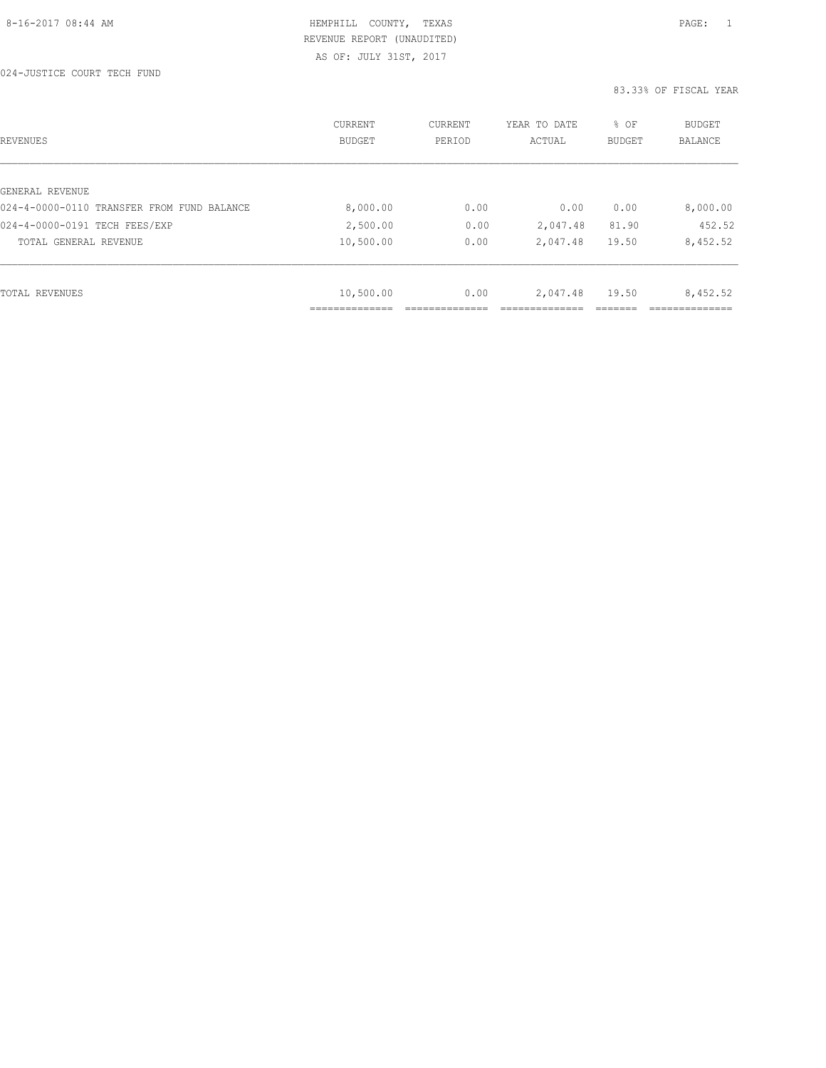024-JUSTICE COURT TECH FUND

| REVENUES                                   | CURRENT<br><b>BUDGET</b> | CURRENT<br>PERIOD | YEAR TO DATE<br>ACTUAL | % OF<br>BUDGET | BUDGET<br>BALANCE |
|--------------------------------------------|--------------------------|-------------------|------------------------|----------------|-------------------|
|                                            |                          |                   |                        |                |                   |
| GENERAL REVENUE                            |                          |                   |                        |                |                   |
| 024-4-0000-0110 TRANSFER FROM FUND BALANCE | 8,000.00                 | 0.00              | 0.00                   | 0.00           | 8,000.00          |
| 024-4-0000-0191 TECH FEES/EXP              | 2,500.00                 | 0.00              | 2,047.48               | 81.90          | 452.52            |
| TOTAL GENERAL REVENUE                      | 10,500.00                | 0.00              | 2,047.48               | 19.50          | 8,452.52          |
|                                            |                          |                   |                        |                |                   |
| TOTAL REVENUES                             | 10,500.00                | 0.00              | 2,047.48               | 19.50          | 8,452.52          |
|                                            | _____________            |                   |                        |                |                   |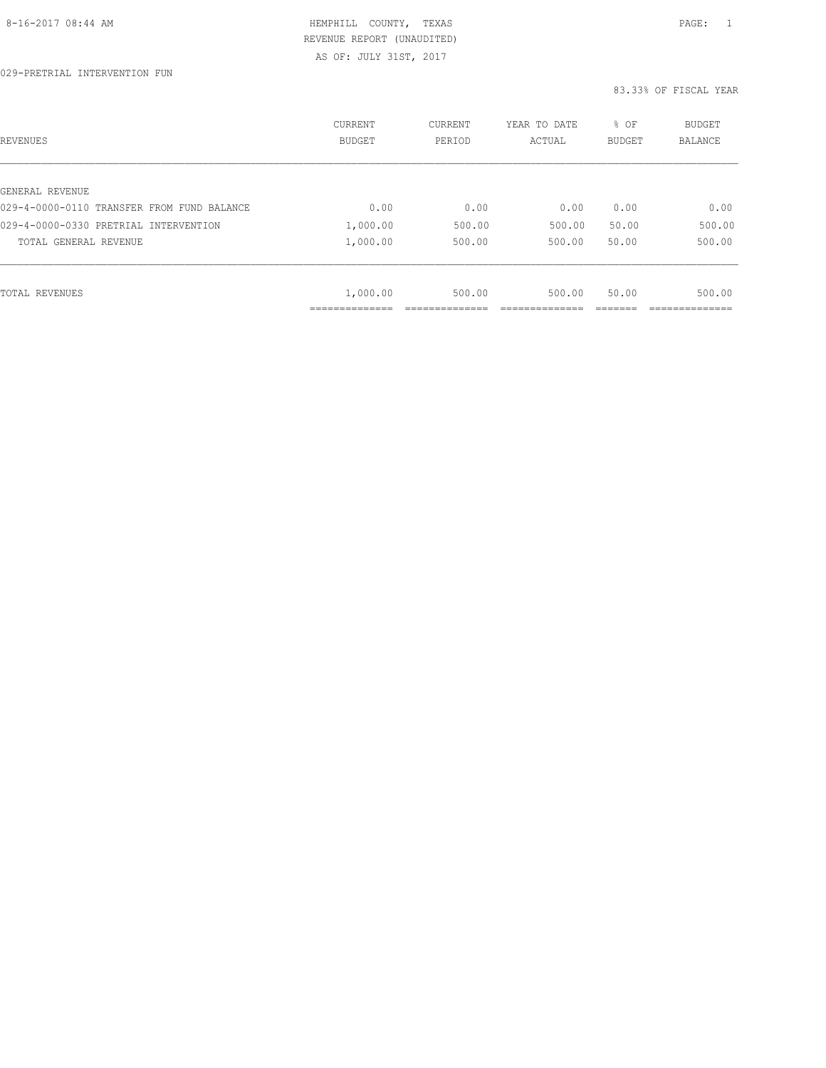| REVENUES                                   | CURRENT<br><b>BUDGET</b> | CURRENT<br>PERIOD | YEAR TO DATE<br>ACTUAL | % OF<br>BUDGET | BUDGET<br><b>BALANCE</b> |
|--------------------------------------------|--------------------------|-------------------|------------------------|----------------|--------------------------|
| GENERAL REVENUE                            |                          |                   |                        |                |                          |
| 029-4-0000-0110 TRANSFER FROM FUND BALANCE | 0.00                     | 0.00              | 0.00                   | 0.00           | 0.00                     |
| 029-4-0000-0330 PRETRIAL INTERVENTION      | 1,000.00                 | 500.00            | 500.00                 | 50.00          | 500.00                   |
| TOTAL GENERAL REVENUE                      | 1,000.00                 | 500.00            | 500.00                 | 50.00          | 500.00                   |
|                                            |                          |                   |                        |                |                          |
| TOTAL REVENUES                             | 1,000.00                 | 500.00            | 500.00                 | 50.00          | 500.00                   |
|                                            | ____________             |                   |                        |                |                          |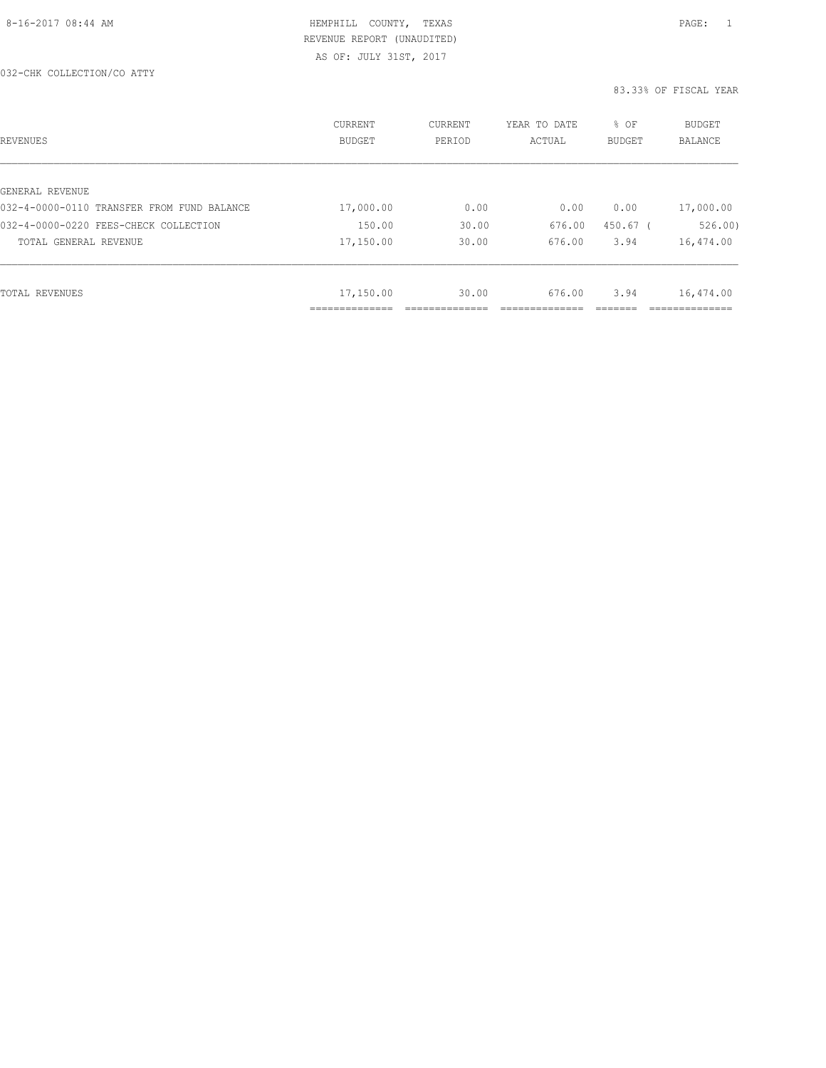| REVENUES                                   | CURRENT<br><b>BUDGET</b> | CURRENT<br>PERIOD | YEAR TO DATE<br>ACTUAL | % OF<br><b>BUDGET</b> | <b>BUDGET</b><br><b>BALANCE</b> |
|--------------------------------------------|--------------------------|-------------------|------------------------|-----------------------|---------------------------------|
|                                            |                          |                   |                        |                       |                                 |
| GENERAL REVENUE                            |                          |                   |                        |                       |                                 |
| 032-4-0000-0110 TRANSFER FROM FUND BALANCE | 17,000.00                | 0.00              | 0.00                   | 0.00                  | 17,000.00                       |
| 032-4-0000-0220 FEES-CHECK COLLECTION      | 150.00                   | 30.00             | 676.00                 | $450.67$ (            | 526.00                          |
| TOTAL GENERAL REVENUE                      | 17,150.00                | 30.00             | 676.00                 | 3.94                  | 16,474.00                       |
|                                            |                          |                   |                        |                       |                                 |
| TOTAL REVENUES                             | 17,150.00                | 30.00             | 676.00                 | 3.94                  | 16,474.00                       |
|                                            | ____________<br>.        |                   |                        |                       | _____________                   |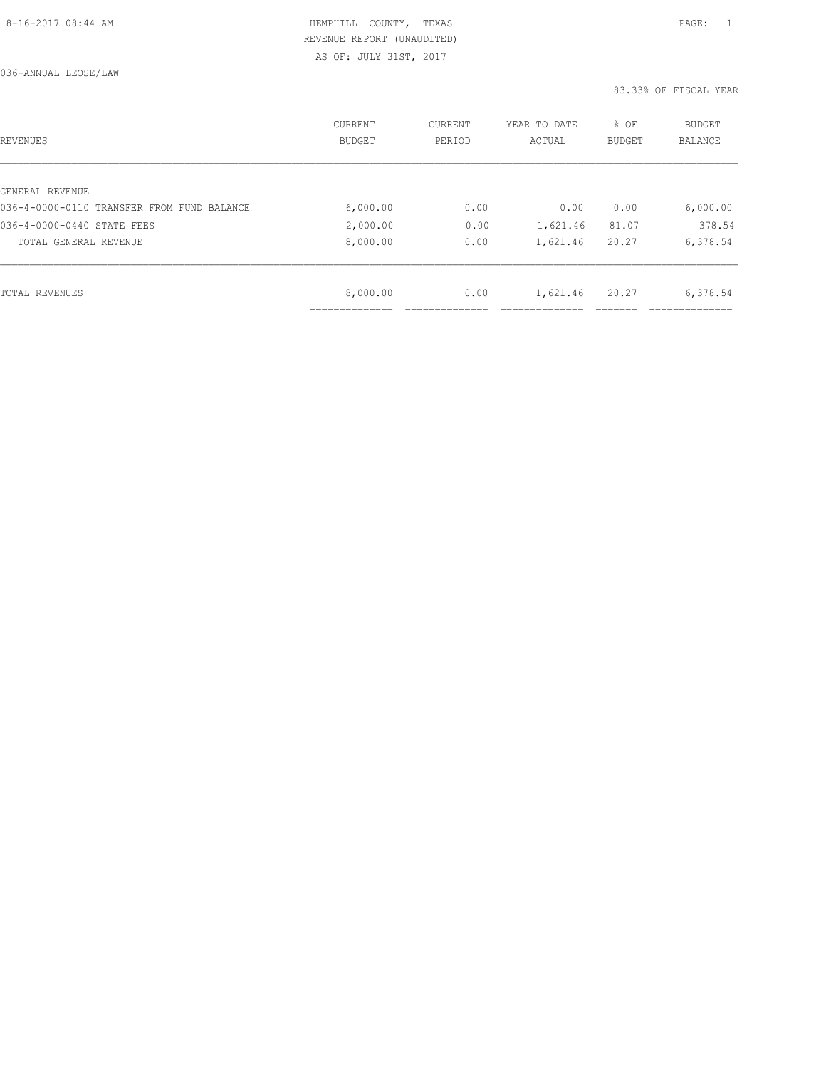AS OF: JULY 31ST, 2017

| REVENUES                                   | CURRENT<br><b>BUDGET</b> | CURRENT<br>PERIOD | YEAR TO DATE<br>ACTUAL | % OF<br><b>BUDGET</b> | <b>BUDGET</b><br>BALANCE |
|--------------------------------------------|--------------------------|-------------------|------------------------|-----------------------|--------------------------|
|                                            |                          |                   |                        |                       |                          |
| GENERAL REVENUE                            |                          |                   |                        |                       |                          |
| 036-4-0000-0110 TRANSFER FROM FUND BALANCE | 6,000.00                 | 0.00              | 0.00                   | 0.00                  | 6,000.00                 |
| 036-4-0000-0440 STATE FEES                 | 2,000.00                 | 0.00              | 1,621.46               | 81.07                 | 378.54                   |
| TOTAL GENERAL REVENUE                      | 8,000.00                 | 0.00              | 1,621.46               | 20.27                 | 6,378.54                 |
|                                            |                          |                   |                        |                       |                          |
| TOTAL REVENUES                             | 8,000.00                 | 0.00              | 1,621.46               | 20.27                 | 6,378.54                 |
|                                            |                          |                   |                        |                       |                          |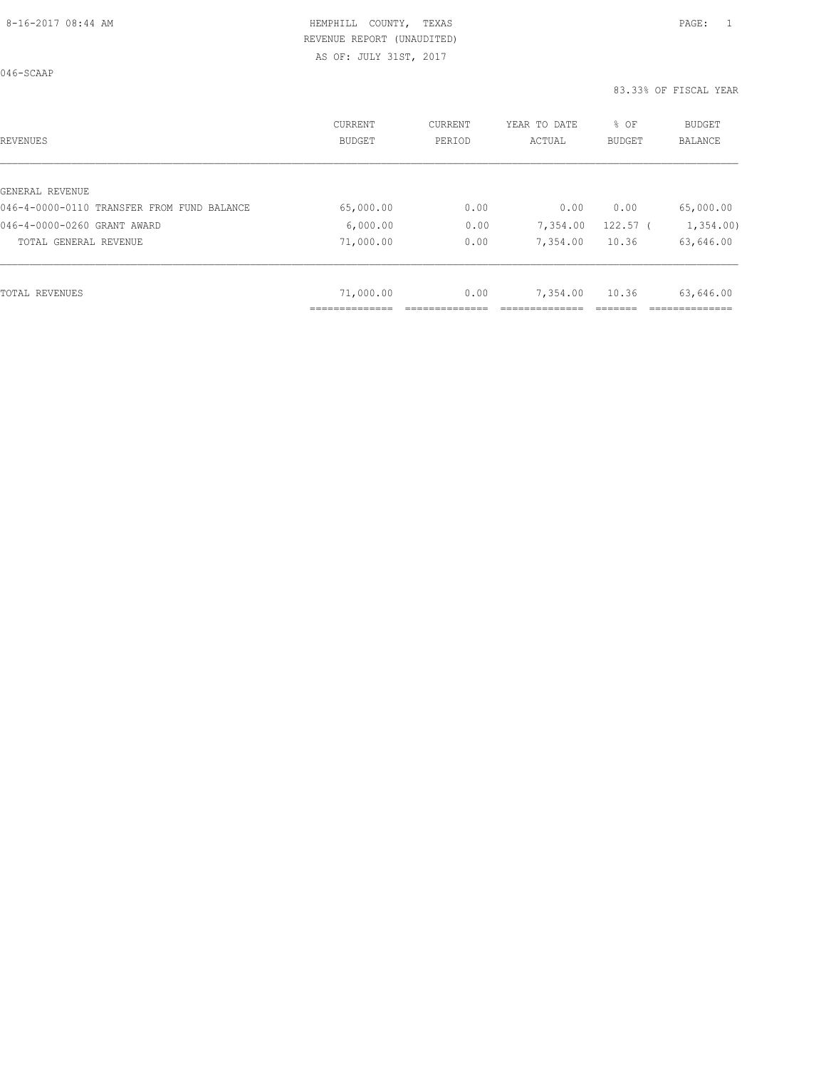AS OF: JULY 31ST, 2017

046-SCAAP

| <b>REVENUES</b>                            | CURRENT<br><b>BUDGET</b> | <b>CURRENT</b><br>PERIOD | YEAR TO DATE<br>ACTUAL | % OF<br><b>BUDGET</b> | BUDGET<br><b>BALANCE</b> |
|--------------------------------------------|--------------------------|--------------------------|------------------------|-----------------------|--------------------------|
|                                            |                          |                          |                        |                       |                          |
| GENERAL REVENUE                            |                          |                          |                        |                       |                          |
| 046-4-0000-0110 TRANSFER FROM FUND BALANCE | 65,000.00                | 0.00                     | 0.00                   | 0.00                  | 65,000.00                |
| 046-4-0000-0260 GRANT AWARD                | 6,000.00                 | 0.00                     | 7,354.00               | $122.57$ (            | 1,354.00                 |
| TOTAL GENERAL REVENUE                      | 71,000.00                | 0.00                     | 7,354.00               | 10.36                 | 63,646.00                |
|                                            |                          |                          |                        |                       |                          |
| TOTAL REVENUES                             | 71,000.00                | 0.00                     | 7,354.00               | 10.36                 | 63,646.00                |
|                                            | .                        |                          |                        |                       |                          |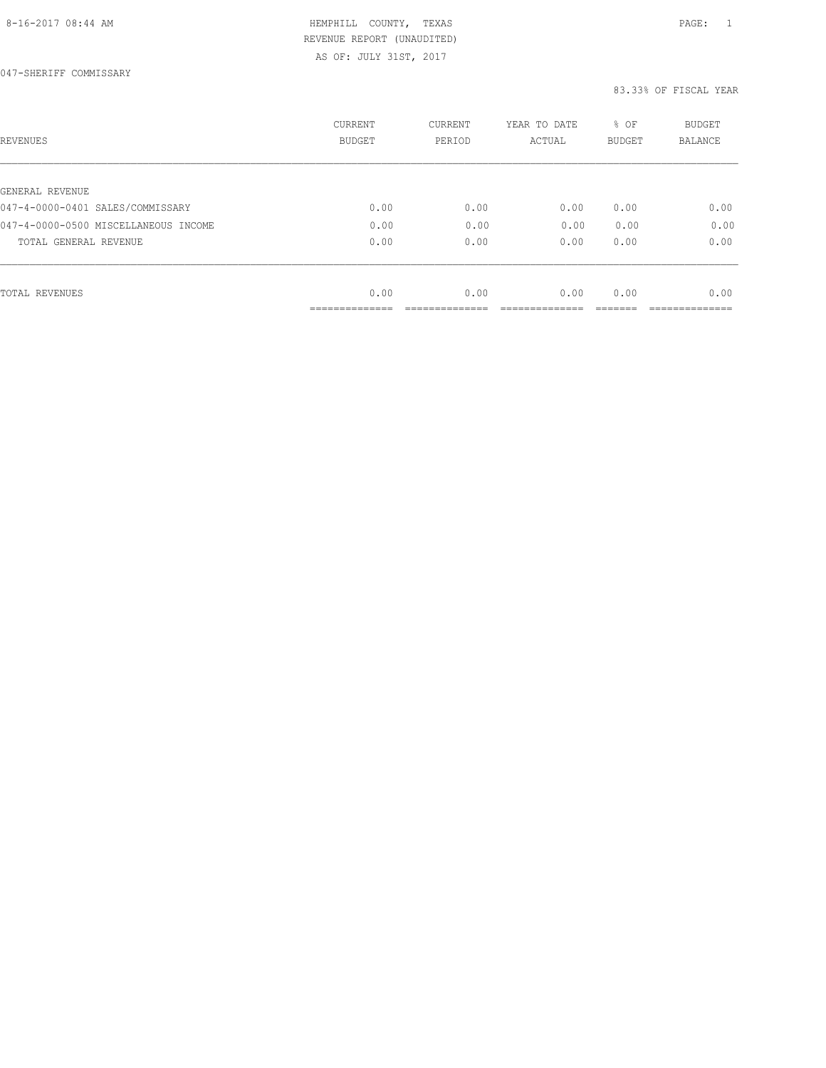AS OF: JULY 31ST, 2017

| REVENUES                             | <b>CURRENT</b><br><b>BUDGET</b> | CURRENT<br>PERIOD | YEAR TO DATE<br>ACTUAL | % OF<br><b>BUDGET</b> | <b>BUDGET</b><br>BALANCE |
|--------------------------------------|---------------------------------|-------------------|------------------------|-----------------------|--------------------------|
|                                      |                                 |                   |                        |                       |                          |
| GENERAL REVENUE                      |                                 |                   |                        |                       |                          |
| 047-4-0000-0401 SALES/COMMISSARY     | 0.00                            | 0.00              | 0.00                   | 0.00                  | 0.00                     |
| 047-4-0000-0500 MISCELLANEOUS INCOME | 0.00                            | 0.00              | 0.00                   | 0.00                  | 0.00                     |
| TOTAL GENERAL REVENUE                | 0.00                            | 0.00              | 0.00                   | 0.00                  | 0.00                     |
|                                      |                                 |                   |                        |                       |                          |
| TOTAL REVENUES                       | 0.00                            | 0.00              | 0.00                   | 0.00                  | 0.00                     |
|                                      | -----------                     |                   |                        |                       |                          |